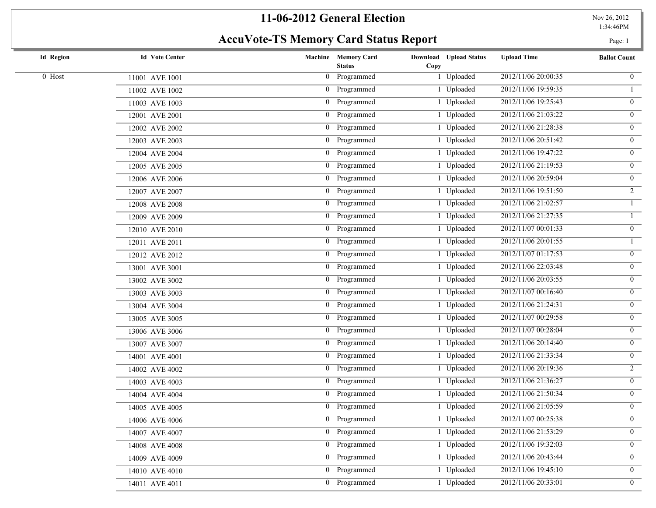# **AccuVote-TS Memory Card Status Report** Page: 1

| <b>Id Region</b> | <b>Id Vote Center</b> | Machine Memory Card<br><b>Status</b> | Download Upload Status<br>Copy | <b>Upload Time</b>  | <b>Ballot Count</b> |
|------------------|-----------------------|--------------------------------------|--------------------------------|---------------------|---------------------|
| 0 Host           | 11001 AVE 1001        | 0 Programmed                         | 1 Uploaded                     | 2012/11/06 20:00:35 | $\overline{0}$      |
|                  | 11002 AVE 1002        | 0 Programmed                         | 1 Uploaded                     | 2012/11/06 19:59:35 | $\mathbf{1}$        |
|                  | 11003 AVE 1003        | 0 Programmed                         | 1 Uploaded                     | 2012/11/06 19:25:43 | $\overline{0}$      |
|                  | 12001 AVE 2001        | 0 Programmed                         | 1 Uploaded                     | 2012/11/06 21:03:22 | $\overline{0}$      |
|                  | 12002 AVE 2002        | 0 Programmed                         | 1 Uploaded                     | 2012/11/06 21:28:38 | $\mathbf{0}$        |
|                  | 12003 AVE 2003        | 0 Programmed                         | 1 Uploaded                     | 2012/11/06 20:51:42 | $\mathbf{0}$        |
|                  | 12004 AVE 2004        | 0 Programmed                         | 1 Uploaded                     | 2012/11/06 19:47:22 | $\overline{0}$      |
|                  | 12005 AVE 2005        | 0 Programmed                         | 1 Uploaded                     | 2012/11/06 21:19:53 | $\overline{0}$      |
|                  | 12006 AVE 2006        | 0 Programmed                         | 1 Uploaded                     | 2012/11/06 20:59:04 | $\mathbf{0}$        |
|                  | 12007 AVE 2007        | 0 Programmed                         | 1 Uploaded                     | 2012/11/06 19:51:50 | $\overline{2}$      |
|                  | 12008 AVE 2008        | 0 Programmed                         | 1 Uploaded                     | 2012/11/06 21:02:57 | $\mathbf{1}$        |
|                  | 12009 AVE 2009        | 0 Programmed                         | 1 Uploaded                     | 2012/11/06 21:27:35 |                     |
|                  | 12010 AVE 2010        | 0 Programmed                         | 1 Uploaded                     | 2012/11/07 00:01:33 | $\overline{0}$      |
|                  | 12011 AVE 2011        | 0 Programmed                         | 1 Uploaded                     | 2012/11/06 20:01:55 |                     |
|                  | 12012 AVE 2012        | 0 Programmed                         | 1 Uploaded                     | 2012/11/07 01:17:53 | $\overline{0}$      |
|                  | 13001 AVE 3001        | 0 Programmed                         | 1 Uploaded                     | 2012/11/06 22:03:48 | $\mathbf{0}$        |
|                  | 13002 AVE 3002        | 0 Programmed                         | 1 Uploaded                     | 2012/11/06 20:03:55 | $\mathbf{0}$        |
|                  | 13003 AVE 3003        | 0 Programmed                         | 1 Uploaded                     | 2012/11/07 00:16:40 | $\overline{0}$      |
|                  | 13004 AVE 3004        | 0 Programmed                         | 1 Uploaded                     | 2012/11/06 21:24:31 | $\mathbf{0}$        |
|                  | 13005 AVE 3005        | 0 Programmed                         | 1 Uploaded                     | 2012/11/07 00:29:58 | $\overline{0}$      |
|                  | 13006 AVE 3006        | 0 Programmed                         | 1 Uploaded                     | 2012/11/07 00:28:04 | $\overline{0}$      |
|                  | 13007 AVE 3007        | 0 Programmed                         | 1 Uploaded                     | 2012/11/06 20:14:40 | $\overline{0}$      |
|                  | 14001 AVE 4001        | 0 Programmed                         | 1 Uploaded                     | 2012/11/06 21:33:34 | $\mathbf{0}$        |
|                  | 14002 AVE 4002        | 0 Programmed                         | 1 Uploaded                     | 2012/11/06 20:19:36 | $2^{\circ}$         |
|                  | 14003 AVE 4003        | 0 Programmed                         | 1 Uploaded                     | 2012/11/06 21:36:27 | $\overline{0}$      |
|                  | 14004 AVE 4004        | 0 Programmed                         | 1 Uploaded                     | 2012/11/06 21:50:34 | $\mathbf{0}$        |
|                  | 14005 AVE 4005        | 0 Programmed                         | 1 Uploaded                     | 2012/11/06 21:05:59 | $\overline{0}$      |
|                  | 14006 AVE 4006        | 0 Programmed                         | 1 Uploaded                     | 2012/11/07 00:25:38 | $\overline{0}$      |
|                  | 14007 AVE 4007        | 0 Programmed                         | 1 Uploaded                     | 2012/11/06 21:53:29 | $\overline{0}$      |
|                  | 14008 AVE 4008        | 0 Programmed                         | 1 Uploaded                     | 2012/11/06 19:32:03 | $\overline{0}$      |
|                  | 14009 AVE 4009        | 0 Programmed                         | 1 Uploaded                     | 2012/11/06 20:43:44 | $\overline{0}$      |
|                  | 14010 AVE 4010        | 0 Programmed                         | 1 Uploaded                     | 2012/11/06 19:45:10 | $\mathbf{0}$        |
|                  | 14011 AVE 4011        | 0 Programmed                         | 1 Uploaded                     | 2012/11/06 20:33:01 | $\overline{0}$      |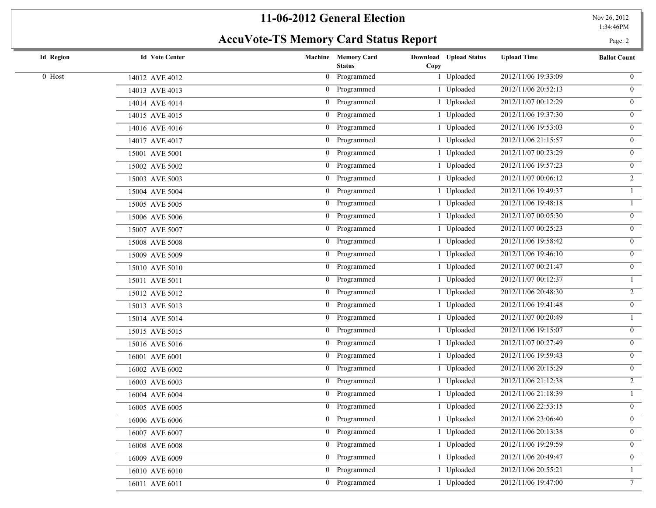# **AccuVote-TS Memory Card Status Report** Page: 2

| <b>Id Region</b> | <b>Id Vote Center</b> | Machine Memory Card<br><b>Status</b> | Download Upload Status<br>Copy | <b>Upload Time</b>  | <b>Ballot Count</b> |
|------------------|-----------------------|--------------------------------------|--------------------------------|---------------------|---------------------|
| 0 Host           | 14012 AVE 4012        | 0 Programmed                         | 1 Uploaded                     | 2012/11/06 19:33:09 | $\mathbf{0}$        |
|                  | 14013 AVE 4013        | 0 Programmed                         | 1 Uploaded                     | 2012/11/06 20:52:13 | $\overline{0}$      |
|                  | 14014 AVE 4014        | 0 Programmed                         | 1 Uploaded                     | 2012/11/07 00:12:29 | $\overline{0}$      |
|                  | 14015 AVE 4015        | 0 Programmed                         | 1 Uploaded                     | 2012/11/06 19:37:30 | $\overline{0}$      |
|                  | 14016 AVE 4016        | 0 Programmed                         | 1 Uploaded                     | 2012/11/06 19:53:03 | $\mathbf{0}$        |
|                  | 14017 AVE 4017        | 0 Programmed                         | 1 Uploaded                     | 2012/11/06 21:15:57 | $\mathbf{0}$        |
|                  | 15001 AVE 5001        | 0 Programmed                         | 1 Uploaded                     | 2012/11/07 00:23:29 | $\overline{0}$      |
|                  | 15002 AVE 5002        | 0 Programmed                         | 1 Uploaded                     | 2012/11/06 19:57:23 | $\overline{0}$      |
|                  | 15003 AVE 5003        | 0 Programmed                         | 1 Uploaded                     | 2012/11/07 00:06:12 | $\overline{2}$      |
|                  | 15004 AVE 5004        | 0 Programmed                         | 1 Uploaded                     | 2012/11/06 19:49:37 | $\mathbf{1}$        |
|                  | 15005 AVE 5005        | 0 Programmed                         | 1 Uploaded                     | 2012/11/06 19:48:18 |                     |
|                  | 15006 AVE 5006        | 0 Programmed                         | 1 Uploaded                     | 2012/11/07 00:05:30 | $\mathbf{0}$        |
|                  | 15007 AVE 5007        | 0 Programmed                         | 1 Uploaded                     | 2012/11/07 00:25:23 | $\overline{0}$      |
|                  | 15008 AVE 5008        | 0 Programmed                         | 1 Uploaded                     | 2012/11/06 19:58:42 | $\overline{0}$      |
|                  | 15009 AVE 5009        | 0 Programmed                         | 1 Uploaded                     | 2012/11/06 19:46:10 | $\overline{0}$      |
|                  | 15010 AVE 5010        | 0 Programmed                         | 1 Uploaded                     | 2012/11/07 00:21:47 | $\mathbf{0}$        |
|                  | 15011 AVE 5011        | 0 Programmed                         | 1 Uploaded                     | 2012/11/07 00:12:37 |                     |
|                  | 15012 AVE 5012        | 0 Programmed                         | 1 Uploaded                     | 2012/11/06 20:48:30 | $\overline{2}$      |
|                  | 15013 AVE 5013        | 0 Programmed                         | 1 Uploaded                     | 2012/11/06 19:41:48 | $\mathbf{0}$        |
|                  | 15014 AVE 5014        | 0 Programmed                         | 1 Uploaded                     | 2012/11/07 00:20:49 |                     |
|                  | 15015 AVE 5015        | 0 Programmed                         | 1 Uploaded                     | 2012/11/06 19:15:07 | $\overline{0}$      |
|                  | 15016 AVE 5016        | 0 Programmed                         | 1 Uploaded                     | 2012/11/07 00:27:49 | $\overline{0}$      |
|                  | 16001 AVE 6001        | 0 Programmed                         | 1 Uploaded                     | 2012/11/06 19:59:43 | $\mathbf{0}$        |
|                  | 16002 AVE 6002        | 0 Programmed                         | 1 Uploaded                     | 2012/11/06 20:15:29 | $\overline{0}$      |
|                  | 16003 AVE 6003        | 0 Programmed                         | 1 Uploaded                     | 2012/11/06 21:12:38 | $\overline{2}$      |
|                  | 16004 AVE 6004        | 0 Programmed                         | 1 Uploaded                     | 2012/11/06 21:18:39 |                     |
|                  | 16005 AVE 6005        | 0 Programmed                         | 1 Uploaded                     | 2012/11/06 22:53:15 | $\overline{0}$      |
|                  | 16006 AVE 6006        | 0 Programmed                         | 1 Uploaded                     | 2012/11/06 23:06:40 | $\mathbf{0}$        |
|                  | 16007 AVE 6007        | 0 Programmed                         | 1 Uploaded                     | 2012/11/06 20:13:38 | $\overline{0}$      |
|                  | 16008 AVE 6008        | 0 Programmed                         | 1 Uploaded                     | 2012/11/06 19:29:59 | $\overline{0}$      |
|                  | 16009 AVE 6009        | 0 Programmed                         | 1 Uploaded                     | 2012/11/06 20:49:47 | $\overline{0}$      |
|                  | 16010 AVE 6010        | 0 Programmed                         | 1 Uploaded                     | 2012/11/06 20:55:21 | $\mathbf{1}$        |
|                  | 16011 AVE 6011        | 0 Programmed                         | 1 Uploaded                     | 2012/11/06 19:47:00 | $\overline{7}$      |
|                  |                       |                                      |                                |                     |                     |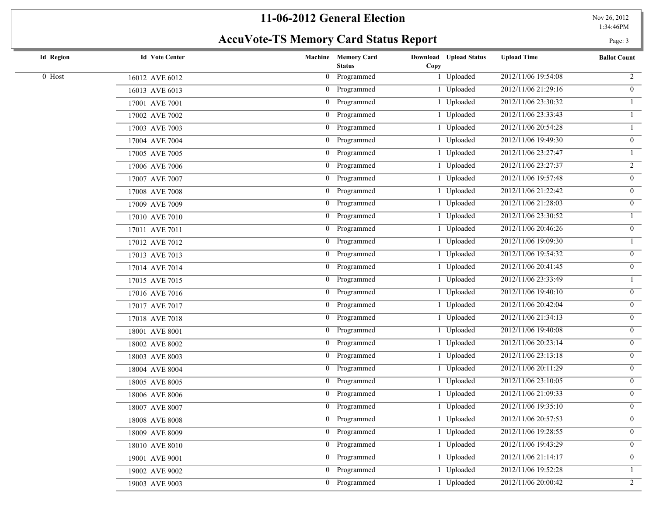# AccuVote-TS Memory Card Status Report **Page: 3**

| <b>Id Region</b> | <b>Id Vote Center</b>  | Machine Memory Card<br><b>Status</b> | Download Upload Status<br>Copy | <b>Upload Time</b>  | <b>Ballot Count</b> |
|------------------|------------------------|--------------------------------------|--------------------------------|---------------------|---------------------|
| 0 Host           | 16012 AVE 6012         | 0 Programmed                         | 1 Uploaded                     | 2012/11/06 19:54:08 | $\overline{2}$      |
|                  | 16013 AVE 6013         | 0 Programmed                         | 1 Uploaded                     | 2012/11/06 21:29:16 | $\overline{0}$      |
|                  | 17001 AVE 7001         | 0 Programmed                         | 1 Uploaded                     | 2012/11/06 23:30:32 |                     |
|                  | 17002 AVE 7002         | 0 Programmed                         | 1 Uploaded                     | 2012/11/06 23:33:43 |                     |
|                  | 17003 AVE 7003         | 0 Programmed                         | 1 Uploaded                     | 2012/11/06 20:54:28 |                     |
|                  | 17004 AVE 7004         | 0 Programmed                         | 1 Uploaded                     | 2012/11/06 19:49:30 | $\overline{0}$      |
|                  | 17005 AVE 7005         | 0 Programmed                         | 1 Uploaded                     | 2012/11/06 23:27:47 |                     |
|                  | 17006 AVE 7006         | 0 Programmed                         | 1 Uploaded                     | 2012/11/06 23:27:37 | $\overline{2}$      |
|                  | 17007 AVE 7007         | 0 Programmed                         | 1 Uploaded                     | 2012/11/06 19:57:48 | $\mathbf{0}$        |
|                  | 17008 AVE 7008         | 0 Programmed                         | 1 Uploaded                     | 2012/11/06 21:22:42 | $\mathbf{0}$        |
|                  | 17009 AVE 7009         | 0 Programmed                         | 1 Uploaded                     | 2012/11/06 21:28:03 | $\overline{0}$      |
|                  | 17010 AVE 7010         | 0 Programmed                         | 1 Uploaded                     | 2012/11/06 23:30:52 | $\mathbf{1}$        |
|                  | 17011 AVE 7011         | 0 Programmed                         | 1 Uploaded                     | 2012/11/06 20:46:26 | $\overline{0}$      |
|                  | 17012 AVE 7012         | 0 Programmed                         | 1 Uploaded                     | 2012/11/06 19:09:30 |                     |
|                  | 17013 AVE 7013         | 0 Programmed                         | 1 Uploaded                     | 2012/11/06 19:54:32 | $\overline{0}$      |
|                  | 17014 AVE 7014         | 0 Programmed                         | 1 Uploaded                     | 2012/11/06 20:41:45 | $\mathbf{0}$        |
|                  | 17015 AVE 7015         | 0 Programmed                         | 1 Uploaded                     | 2012/11/06 23:33:49 | $\mathbf{1}$        |
|                  | 17016 AVE 7016         | 0 Programmed                         | 1 Uploaded                     | 2012/11/06 19:40:10 | $\mathbf{0}$        |
|                  | 17017 AVE 7017         | 0 Programmed                         | 1 Uploaded                     | 2012/11/06 20:42:04 | $\mathbf{0}$        |
|                  | 17018 AVE 7018         | 0 Programmed                         | 1 Uploaded                     | 2012/11/06 21:34:13 | $\overline{0}$      |
|                  | 18001 AVE 8001         | 0 Programmed                         | 1 Uploaded                     | 2012/11/06 19:40:08 | $\mathbf{0}$        |
|                  | 18002 AVE 8002         | 0 Programmed                         | 1 Uploaded                     | 2012/11/06 20:23:14 | $\overline{0}$      |
|                  | 18003 AVE 8003         | 0 Programmed                         | 1 Uploaded                     | 2012/11/06 23:13:18 | $\mathbf{0}$        |
|                  | 18004 AVE 8004         | 0 Programmed                         | 1 Uploaded                     | 2012/11/06 20:11:29 | $\overline{0}$      |
|                  | 18005 AVE 8005         | 0 Programmed                         | 1 Uploaded                     | 2012/11/06 23:10:05 | $\mathbf{0}$        |
|                  | 18006 AVE 8006         | 0 Programmed                         | 1 Uploaded                     | 2012/11/06 21:09:33 | $\overline{0}$      |
|                  | 18007 AVE 8007         | 0 Programmed                         | 1 Uploaded                     | 2012/11/06 19:35:10 | $\overline{0}$      |
|                  | $18008\;$ AVE $8008\;$ | 0 Programmed                         | 1 Uploaded                     | 2012/11/06 20:57:53 | $\overline{0}$      |
|                  | 18009 AVE 8009         | 0 Programmed                         | 1 Uploaded                     | 2012/11/06 19:28:55 | $\overline{0}$      |
|                  | 18010 AVE 8010         | 0 Programmed                         | 1 Uploaded                     | 2012/11/06 19:43:29 | $\overline{0}$      |
|                  | 19001 AVE 9001         | 0 Programmed                         | 1 Uploaded                     | 2012/11/06 21:14:17 | $\overline{0}$      |
|                  | 19002 AVE 9002         | 0 Programmed                         | 1 Uploaded                     | 2012/11/06 19:52:28 | $\mathbf{1}$        |
|                  | 19003 AVE 9003         | 0 Programmed                         | 1 Uploaded                     | 2012/11/06 20:00:42 | $\overline{2}$      |